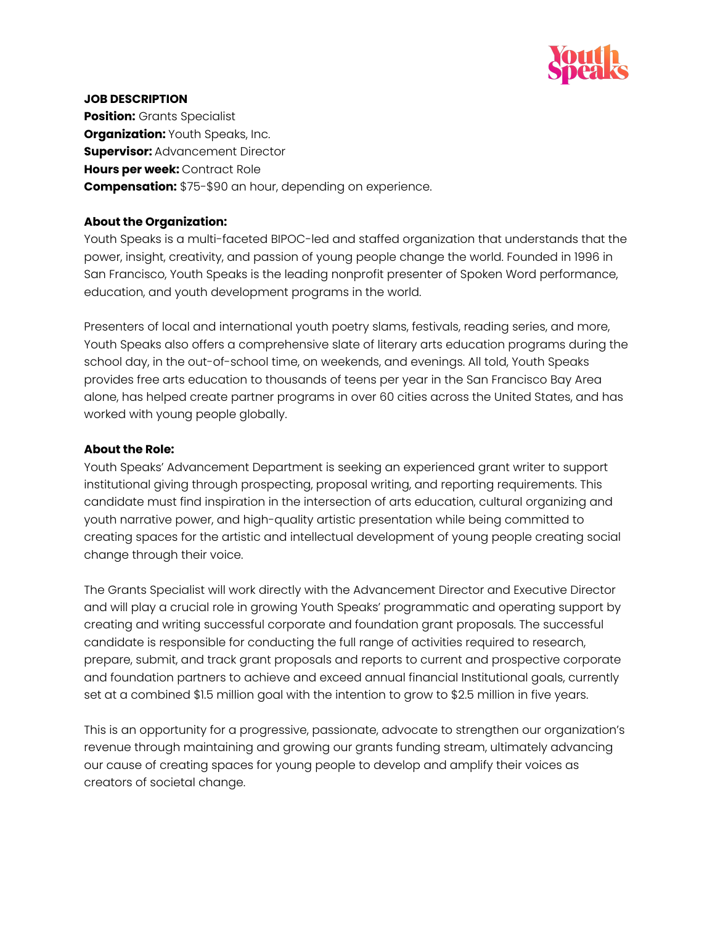

#### **JOB DESCRIPTION**

**Position:** Grants Specialist **Organization:** Youth Speaks, Inc. **Supervisor: Advancement Director Hours per week:** Contract Role **Compensation:** \$75-\$90 an hour, depending on experience.

#### **About the Organization:**

Youth Speaks is a multi-faceted BIPOC-led and staffed organization that understands that the power, insight, creativity, and passion of young people change the world. Founded in 1996 in San Francisco, Youth Speaks is the leading nonprofit presenter of Spoken Word performance, education, and youth development programs in the world.

Presenters of local and international youth poetry slams, festivals, reading series, and more, Youth Speaks also offers a comprehensive slate of literary arts education programs during the school day, in the out-of-school time, on weekends, and evenings. All told, Youth Speaks provides free arts education to thousands of teens per year in the San Francisco Bay Area alone, has helped create partner programs in over 60 cities across the United States, and has worked with young people globally.

### **About the Role:**

Youth Speaks' Advancement Department is seeking an experienced grant writer to support institutional giving through prospecting, proposal writing, and reporting requirements. This candidate must find inspiration in the intersection of arts education, cultural organizing and youth narrative power, and high-quality artistic presentation while being committed to creating spaces for the artistic and intellectual development of young people creating social change through their voice.

The Grants Specialist will work directly with the Advancement Director and Executive Director and will play a crucial role in growing Youth Speaks' programmatic and operating support by creating and writing successful corporate and foundation grant proposals. The successful candidate is responsible for conducting the full range of activities required to research, prepare, submit, and track grant proposals and reports to current and prospective corporate and foundation partners to achieve and exceed annual financial Institutional goals, currently set at a combined \$1.5 million goal with the intention to grow to \$2.5 million in five years.

This is an opportunity for a progressive, passionate, advocate to strengthen our organization's revenue through maintaining and growing our grants funding stream, ultimately advancing our cause of creating spaces for young people to develop and amplify their voices as creators of societal change.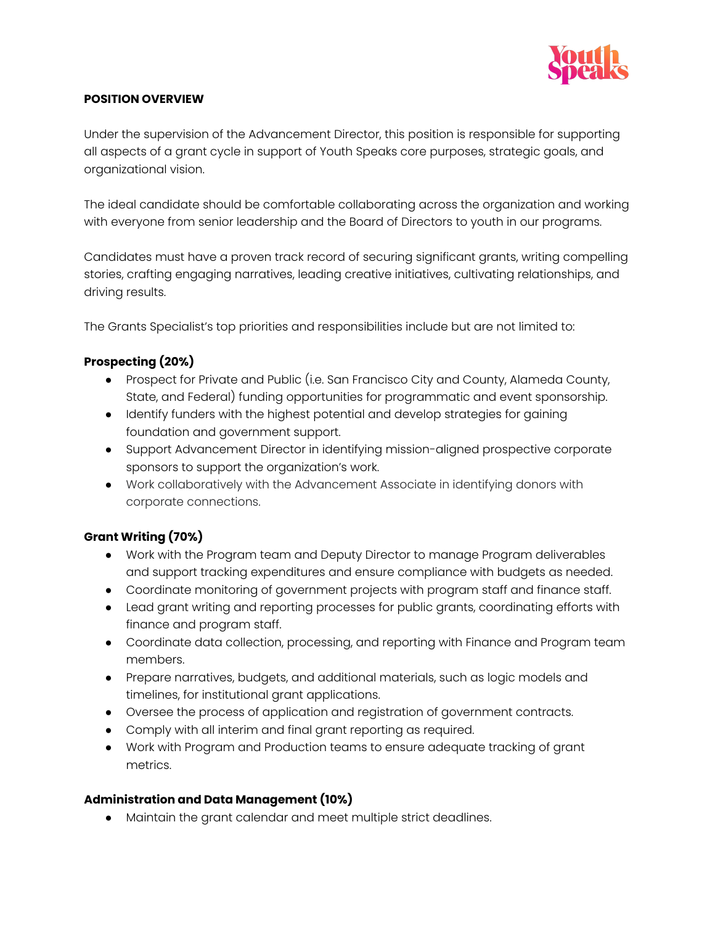

### **POSITION OVERVIEW**

Under the supervision of the Advancement Director, this position is responsible for supporting all aspects of a grant cycle in support of Youth Speaks core purposes, strategic goals, and organizational vision.

The ideal candidate should be comfortable collaborating across the organization and working with everyone from senior leadership and the Board of Directors to youth in our programs.

Candidates must have a proven track record of securing significant grants, writing compelling stories, crafting engaging narratives, leading creative initiatives, cultivating relationships, and driving results.

The Grants Specialist's top priorities and responsibilities include but are not limited to:

# **Prospecting (20%)**

- Prospect for Private and Public (i.e. San Francisco City and County, Alameda County, State, and Federal) funding opportunities for programmatic and event sponsorship.
- Identify funders with the highest potential and develop strategies for gaining foundation and government support.
- Support Advancement Director in identifying mission-aligned prospective corporate sponsors to support the organization's work.
- Work collaboratively with the Advancement Associate in identifying donors with corporate connections.

# **Grant Writing (70%)**

- Work with the Program team and Deputy Director to manage Program deliverables and support tracking expenditures and ensure compliance with budgets as needed.
- Coordinate monitoring of government projects with program staff and finance staff.
- Lead grant writing and reporting processes for public grants, coordinating efforts with finance and program staff.
- Coordinate data collection, processing, and reporting with Finance and Program team members.
- Prepare narratives, budgets, and additional materials, such as logic models and timelines, for institutional grant applications.
- Oversee the process of application and registration of government contracts.
- Comply with all interim and final grant reporting as required.
- Work with Program and Production teams to ensure adequate tracking of grant metrics.

## **Administration and Data Management (10%)**

● Maintain the grant calendar and meet multiple strict deadlines.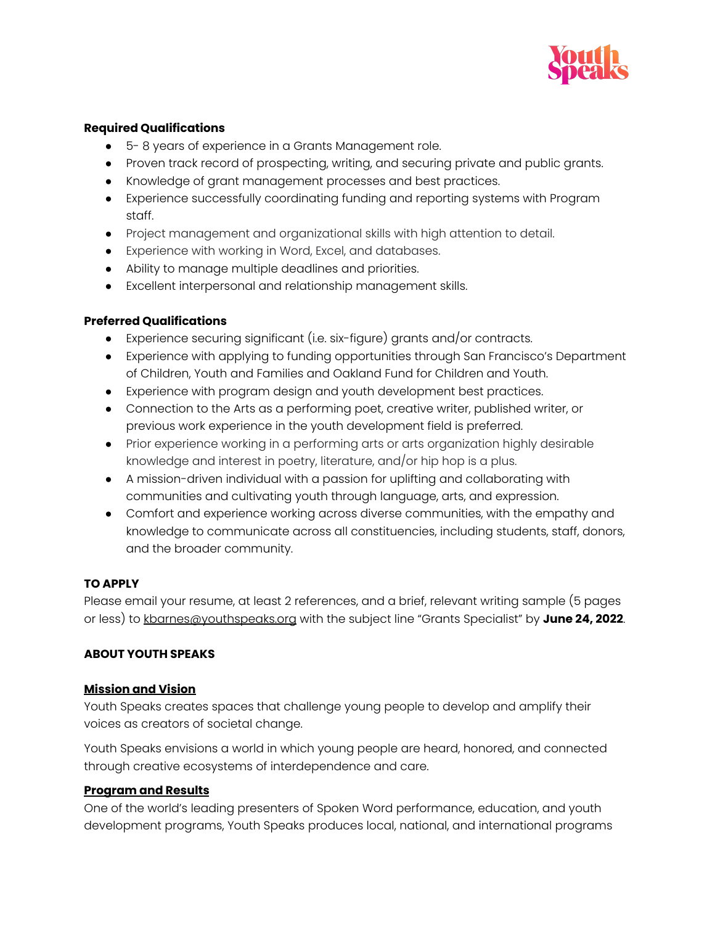

## **Required Qualifications**

- 5- 8 years of experience in a Grants Management role.
- Proven track record of prospecting, writing, and securing private and public grants.
- Knowledge of grant management processes and best practices.
- Experience successfully coordinating funding and reporting systems with Program staff.
- Project management and organizational skills with high attention to detail.
- Experience with working in Word, Excel, and databases.
- Ability to manage multiple deadlines and priorities.
- Excellent interpersonal and relationship management skills.

## **Preferred Qualifications**

- Experience securing significant (i.e. six-figure) grants and/or contracts.
- Experience with applying to funding opportunities through San Francisco's Department of Children, Youth and Families and Oakland Fund for Children and Youth.
- Experience with program design and youth development best practices.
- Connection to the Arts as a performing poet, creative writer, published writer, or previous work experience in the youth development field is preferred.
- Prior experience working in a performing arts or arts organization highly desirable knowledge and interest in poetry, literature, and/or hip hop is a plus.
- A mission-driven individual with a passion for uplifting and collaborating with communities and cultivating youth through language, arts, and expression.
- Comfort and experience working across diverse communities, with the empathy and knowledge to communicate across all constituencies, including students, staff, donors, and the broader community.

## **TO APPLY**

Please email your resume, at least 2 references, and a brief, relevant writing sample (5 pages or less) to [kbarnes@youthspeaks.org](mailto:kbarnes@youthspeaks.org) with the subject line "Grants Specialist" by **June 24, 2022**.

## **ABOUT YOUTH SPEAKS**

#### **Mission and Vision**

Youth Speaks creates spaces that challenge young people to develop and amplify their voices as creators of societal change.

Youth Speaks envisions a world in which young people are heard, honored, and connected through creative ecosystems of interdependence and care.

## **Program and Results**

One of the world's leading presenters of Spoken Word performance, education, and youth development programs, Youth Speaks produces local, national, and international programs